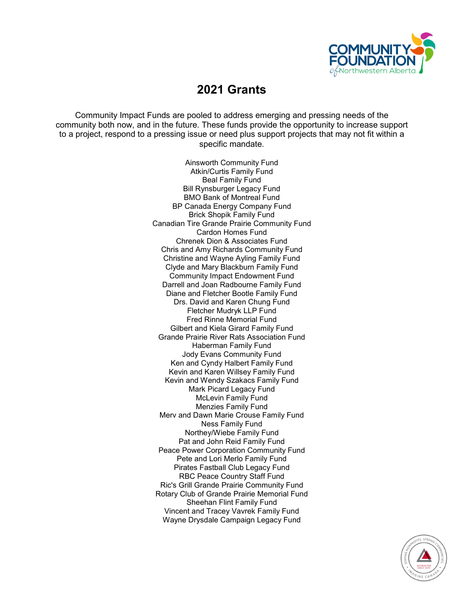

# **2021 Grants**

Community Impact Funds are pooled to address emerging and pressing needs of the community both now, and in the future. These funds provide the opportunity to increase support to a project, respond to a pressing issue or need plus support projects that may not fit within a specific mandate.

> Ainsworth Community Fund Atkin/Curtis Family Fund Beal Family Fund Bill Rynsburger Legacy Fund BMO Bank of Montreal Fund BP Canada Energy Company Fund Brick Shopik Family Fund Canadian Tire Grande Prairie Community Fund Cardon Homes Fund Chrenek Dion & Associates Fund Chris and Amy Richards Community Fund Christine and Wayne Ayling Family Fund Clyde and Mary Blackburn Family Fund Community Impact Endowment Fund Darrell and Joan Radbourne Family Fund Diane and Fletcher Bootle Family Fund Drs. David and Karen Chung Fund Fletcher Mudryk LLP Fund Fred Rinne Memorial Fund Gilbert and Kiela Girard Family Fund Grande Prairie River Rats Association Fund Haberman Family Fund Jody Evans Community Fund Ken and Cyndy Halbert Family Fund Kevin and Karen Willsey Family Fund Kevin and Wendy Szakacs Family Fund Mark Picard Legacy Fund McLevin Family Fund Menzies Family Fund Merv and Dawn Marie Crouse Family Fund Ness Family Fund Northey/Wiebe Family Fund Pat and John Reid Family Fund Peace Power Corporation Community Fund Pete and Lori Merlo Family Fund Pirates Fastball Club Legacy Fund RBC Peace Country Staff Fund Ric's Grill Grande Prairie Community Fund Rotary Club of Grande Prairie Memorial Fund Sheehan Flint Family Fund Vincent and Tracey Vavrek Family Fund Wayne Drysdale Campaign Legacy Fund

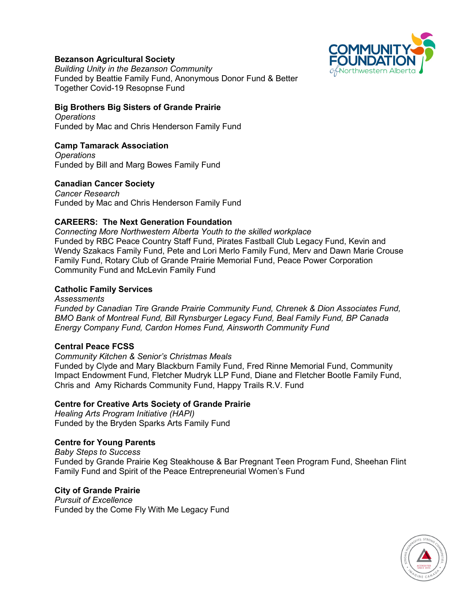

## **Bezanson Agricultural Society**

*Building Unity in the Bezanson Community* Funded by Beattie Family Fund, Anonymous Donor Fund & Better Together Covid-19 Resopnse Fund

## **Big Brothers Big Sisters of Grande Prairie**

*Operations* Funded by Mac and Chris Henderson Family Fund

## **Camp Tamarack Association**

*Operations* Funded by Bill and Marg Bowes Family Fund

## **Canadian Cancer Society**

*Cancer Research* Funded by Mac and Chris Henderson Family Fund

## **CAREERS: The Next Generation Foundation**

*Connecting More Northwestern Alberta Youth to the skilled workplace* Funded by RBC Peace Country Staff Fund, Pirates Fastball Club Legacy Fund, Kevin and Wendy Szakacs Family Fund, Pete and Lori Merlo Family Fund, Merv and Dawn Marie Crouse Family Fund, Rotary Club of Grande Prairie Memorial Fund, Peace Power Corporation Community Fund and McLevin Family Fund

#### **Catholic Family Services**

#### *Assessments*

*Funded by Canadian Tire Grande Prairie Community Fund, Chrenek & Dion Associates Fund, BMO Bank of Montreal Fund, Bill Rynsburger Legacy Fund, Beal Family Fund, BP Canada Energy Company Fund, Cardon Homes Fund, Ainsworth Community Fund*

#### **Central Peace FCSS**

*Community Kitchen & Senior's Christmas Meals*

Funded by Clyde and Mary Blackburn Family Fund, Fred Rinne Memorial Fund, Community Impact Endowment Fund, Fletcher Mudryk LLP Fund, Diane and Fletcher Bootle Family Fund, Chris and Amy Richards Community Fund, Happy Trails R.V. Fund

#### **Centre for Creative Arts Society of Grande Prairie**

*Healing Arts Program Initiative (HAPI)* Funded by the Bryden Sparks Arts Family Fund

#### **Centre for Young Parents**

*Baby Steps to Success* Funded by Grande Prairie Keg Steakhouse & Bar Pregnant Teen Program Fund, Sheehan Flint Family Fund and Spirit of the Peace Entrepreneurial Women's Fund

#### **City of Grande Prairie**

*Pursuit of Excellence* Funded by the Come Fly With Me Legacy Fund

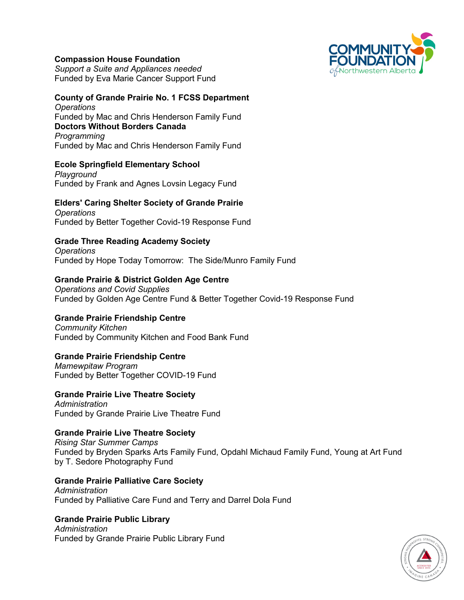## **Compassion House Foundation**

*Support a Suite and Appliances needed* Funded by Eva Marie Cancer Support Fund

#### **County of Grande Prairie No. 1 FCSS Department** *Operations*

Funded by Mac and Chris Henderson Family Fund **Doctors Without Borders Canada** *Programming* Funded by Mac and Chris Henderson Family Fund

## **Ecole Springfield Elementary School**

*Playground* Funded by Frank and Agnes Lovsin Legacy Fund

#### **Elders' Caring Shelter Society of Grande Prairie** *Operations*

Funded by Better Together Covid-19 Response Fund

## **Grade Three Reading Academy Society**

*Operations* Funded by Hope Today Tomorrow: The Side/Munro Family Fund

## **Grande Prairie & District Golden Age Centre**

*Operations and Covid Supplies* Funded by Golden Age Centre Fund & Better Together Covid-19 Response Fund

## **Grande Prairie Friendship Centre**

*Community Kitchen* Funded by Community Kitchen and Food Bank Fund

## **Grande Prairie Friendship Centre**

*Mamewpitaw Program* Funded by Better Together COVID-19 Fund

## **Grande Prairie Live Theatre Society**

*Administration* Funded by Grande Prairie Live Theatre Fund

## **Grande Prairie Live Theatre Society**

*Rising Star Summer Camps* Funded by Bryden Sparks Arts Family Fund, Opdahl Michaud Family Fund, Young at Art Fund by T. Sedore Photography Fund

## **Grande Prairie Palliative Care Society**

*Administration* Funded by Palliative Care Fund and Terry and Darrel Dola Fund

## **Grande Prairie Public Library**

*Administration* Funded by Grande Prairie Public Library Fund



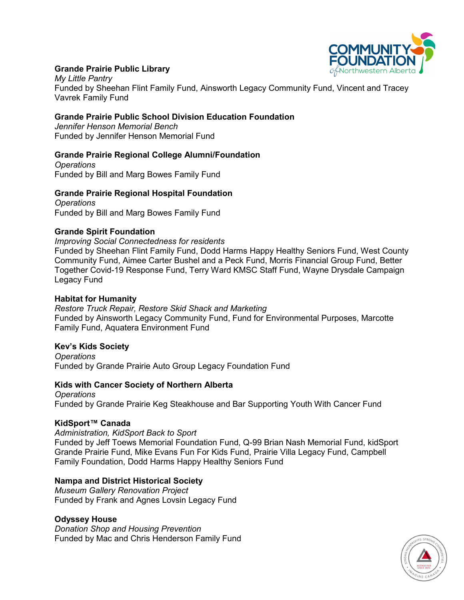

## **Grande Prairie Public Library**

*My Little Pantry* Funded by Sheehan Flint Family Fund, Ainsworth Legacy Community Fund, Vincent and Tracey Vavrek Family Fund

#### **Grande Prairie Public School Division Education Foundation**

*Jennifer Henson Memorial Bench* Funded by Jennifer Henson Memorial Fund

## **Grande Prairie Regional College Alumni/Foundation**

*Operations* Funded by Bill and Marg Bowes Family Fund

#### **Grande Prairie Regional Hospital Foundation**

*Operations* Funded by Bill and Marg Bowes Family Fund

#### **Grande Spirit Foundation**

*Improving Social Connectedness for residents*

Funded by Sheehan Flint Family Fund, Dodd Harms Happy Healthy Seniors Fund, West County Community Fund, Aimee Carter Bushel and a Peck Fund, Morris Financial Group Fund, Better Together Covid-19 Response Fund, Terry Ward KMSC Staff Fund, Wayne Drysdale Campaign Legacy Fund

#### **Habitat for Humanity**

*Restore Truck Repair, Restore Skid Shack and Marketing* Funded by Ainsworth Legacy Community Fund, Fund for Environmental Purposes, Marcotte Family Fund, Aquatera Environment Fund

#### **Kev's Kids Society**

*Operations* Funded by Grande Prairie Auto Group Legacy Foundation Fund

#### **Kids with Cancer Society of Northern Alberta**

*Operations* Funded by Grande Prairie Keg Steakhouse and Bar Supporting Youth With Cancer Fund

#### **KidSport™ Canada**

*Administration, KidSport Back to Sport* Funded by Jeff Toews Memorial Foundation Fund, Q-99 Brian Nash Memorial Fund, kidSport Grande Prairie Fund, Mike Evans Fun For Kids Fund, Prairie Villa Legacy Fund, Campbell Family Foundation, Dodd Harms Happy Healthy Seniors Fund

#### **Nampa and District Historical Society**

*Museum Gallery Renovation Project* Funded by Frank and Agnes Lovsin Legacy Fund

#### **Odyssey House**

*Donation Shop and Housing Prevention* Funded by Mac and Chris Henderson Family Fund

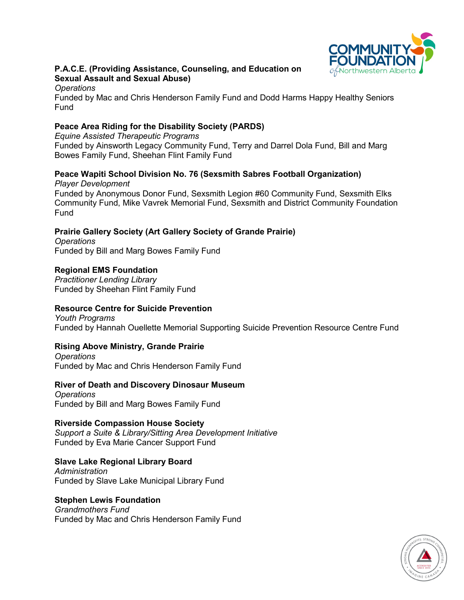

## **P.A.C.E. (Providing Assistance, Counseling, and Education on Sexual Assault and Sexual Abuse)**

#### *Operations*

Funded by Mac and Chris Henderson Family Fund and Dodd Harms Happy Healthy Seniors Fund

## **Peace Area Riding for the Disability Society (PARDS)**

*Equine Assisted Therapeutic Programs* Funded by Ainsworth Legacy Community Fund, Terry and Darrel Dola Fund, Bill and Marg Bowes Family Fund, Sheehan Flint Family Fund

# **Peace Wapiti School Division No. 76 (Sexsmith Sabres Football Organization)**

*Player Development* Funded by Anonymous Donor Fund, Sexsmith Legion #60 Community Fund, Sexsmith Elks Community Fund, Mike Vavrek Memorial Fund, Sexsmith and District Community Foundation Fund

## **Prairie Gallery Society (Art Gallery Society of Grande Prairie)**

*Operations* Funded by Bill and Marg Bowes Family Fund

## **Regional EMS Foundation**

*Practitioner Lending Library* Funded by Sheehan Flint Family Fund

## **Resource Centre for Suicide Prevention**

*Youth Programs* Funded by Hannah Ouellette Memorial Supporting Suicide Prevention Resource Centre Fund

## **Rising Above Ministry, Grande Prairie**

*Operations* Funded by Mac and Chris Henderson Family Fund

## **River of Death and Discovery Dinosaur Museum**

*Operations* Funded by Bill and Marg Bowes Family Fund

## **Riverside Compassion House Society**

*Support a Suite & Library/Sitting Area Development Initiative* Funded by Eva Marie Cancer Support Fund

## **Slave Lake Regional Library Board**

*Administration* Funded by Slave Lake Municipal Library Fund

## **Stephen Lewis Foundation**

*Grandmothers Fund* Funded by Mac and Chris Henderson Family Fund

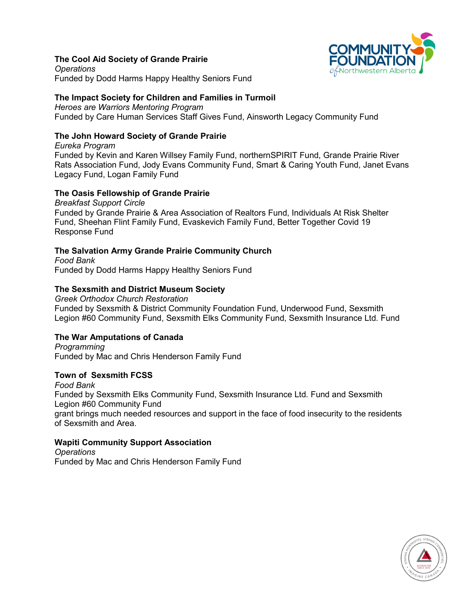## **The Cool Aid Society of Grande Prairie**



*Operations* Funded by Dodd Harms Happy Healthy Seniors Fund

## **The Impact Society for Children and Families in Turmoil**

*Heroes are Warriors Mentoring Program* Funded by Care Human Services Staff Gives Fund, Ainsworth Legacy Community Fund

## **The John Howard Society of Grande Prairie**

*Eureka Program* Funded by Kevin and Karen Willsey Family Fund, northernSPIRIT Fund, Grande Prairie River Rats Association Fund, Jody Evans Community Fund, Smart & Caring Youth Fund, Janet Evans Legacy Fund, Logan Family Fund

## **The Oasis Fellowship of Grande Prairie**

*Breakfast Support Circle*  Funded by Grande Prairie & Area Association of Realtors Fund, Individuals At Risk Shelter Fund, Sheehan Flint Family Fund, Evaskevich Family Fund, Better Together Covid 19 Response Fund

# **The Salvation Army Grande Prairie Community Church**

*Food Bank* Funded by Dodd Harms Happy Healthy Seniors Fund

## **The Sexsmith and District Museum Society**

*Greek Orthodox Church Restoration* Funded by Sexsmith & District Community Foundation Fund, Underwood Fund, Sexsmith Legion #60 Community Fund, Sexsmith Elks Community Fund, Sexsmith Insurance Ltd. Fund

## **The War Amputations of Canada**

*Programming*  Funded by Mac and Chris Henderson Family Fund

## **Town of Sexsmith FCSS**

*Food Bank* Funded by Sexsmith Elks Community Fund, Sexsmith Insurance Ltd. Fund and Sexsmith Legion #60 Community Fund grant brings much needed resources and support in the face of food insecurity to the residents of Sexsmith and Area.

## **Wapiti Community Support Association**

*Operations* Funded by Mac and Chris Henderson Family Fund